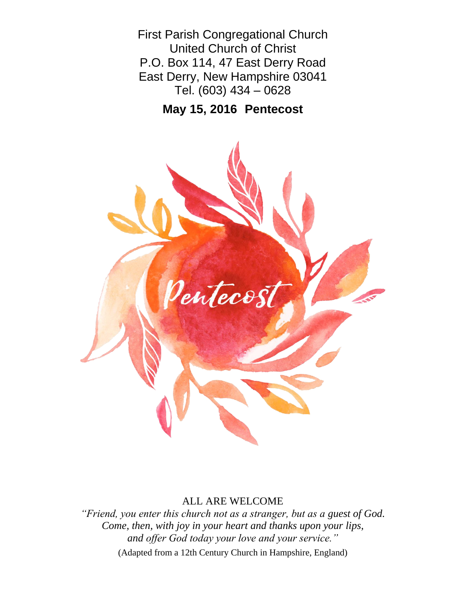First Parish Congregational Church United Church of Christ P.O. Box 114, 47 East Derry Road East Derry, New Hampshire 03041 Tel. (603) 434 – 0628

**May 15, 2016 Pentecost**



## ALL ARE WELCOME

*"Friend, you enter this church not as a stranger, but as a guest of God. Come, then, with joy in your heart and thanks upon your lips, and offer God today your love and your service."* (Adapted from a 12th Century Church in Hampshire, England)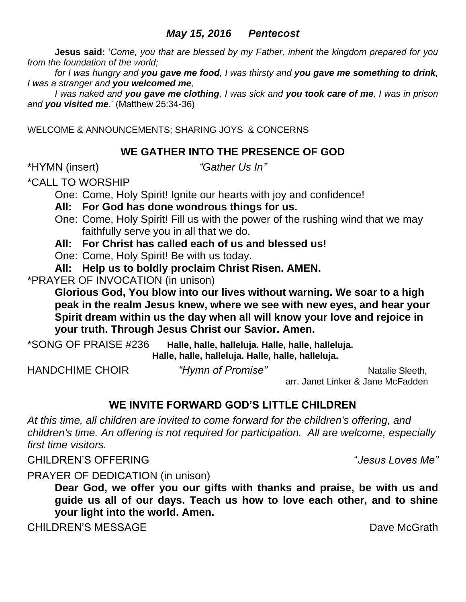# *May 15, 2016 Pentecost*

**Jesus said:** '*Come, you that are blessed by my Father, inherit the kingdom prepared for you from the foundation of the world;* 

*for I was hungry and you gave me food, I was thirsty and you gave me something to drink, I was a stranger and you welcomed me,* 

*I was naked and you gave me clothing, I was sick and you took care of me, I was in prison and you visited me*.' (Matthew 25:34-36)

WELCOME & ANNOUNCEMENTS; SHARING JOYS & CONCERNS

# **WE GATHER INTO THE PRESENCE OF GOD**

\*HYMN (insert) *"Gather Us In"*

\*CALL TO WORSHIP

One: Come, Holy Spirit! Ignite our hearts with joy and confidence!

**All: For God has done wondrous things for us.** 

One: Come, Holy Spirit! Fill us with the power of the rushing wind that we may faithfully serve you in all that we do.

**All: For Christ has called each of us and blessed us!**

One: Come, Holy Spirit! Be with us today.

**All: Help us to boldly proclaim Christ Risen. AMEN.**

\*PRAYER OF INVOCATION (in unison)

**Glorious God, You blow into our lives without warning. We soar to a high peak in the realm Jesus knew, where we see with new eyes, and hear your Spirit dream within us the day when all will know your love and rejoice in your truth. Through Jesus Christ our Savior. Amen.**

\*SONG OF PRAISE #236 **Halle, halle, halleluja. Halle, halle, halleluja. Halle, halle, halleluja. Halle, halle, halleluja.**

HANDCHIME CHOIR *"Hymn of Promise"* Natalie Sleeth, arr. Janet Linker & Jane McFadden

# **WE INVITE FORWARD GOD'S LITTLE CHILDREN**

*At this time, all children are invited to come forward for the children's offering, and children's time. An offering is not required for participation. All are welcome, especially first time visitors.*

CHILDREN'S OFFERING "*Jesus Loves Me"*

PRAYER OF DEDICATION (in unison)

**Dear God, we offer you our gifts with thanks and praise, be with us and guide us all of our days. Teach us how to love each other, and to shine your light into the world. Amen.**

CHILDREN'S MESSAGE DAVID BE DAVID BE DAVE MCGrath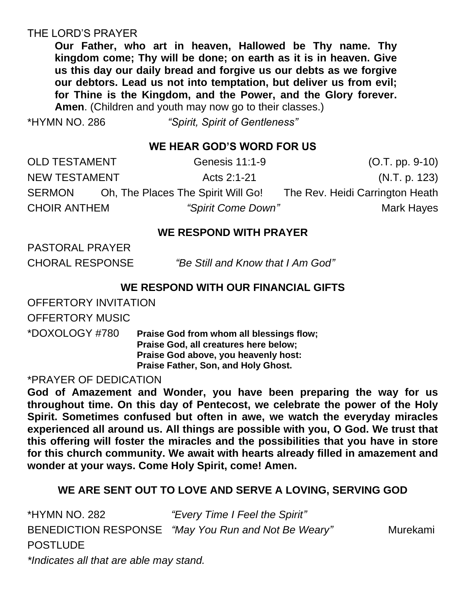# THE LORD'S PRAYER

**Our Father, who art in heaven, Hallowed be Thy name. Thy kingdom come; Thy will be done; on earth as it is in heaven. Give us this day our daily bread and forgive us our debts as we forgive our debtors. Lead us not into temptation, but deliver us from evil; for Thine is the Kingdom, and the Power, and the Glory forever. Amen**. (Children and youth may now go to their classes.)

\*HYMN NO. 286 *"Spirit, Spirit of Gentleness"*

# **WE HEAR GOD'S WORD FOR US**

| <b>OLD TESTAMENT</b> | Genesis 11:1-9                     | $(O.T. pp. 9-10)$               |  |
|----------------------|------------------------------------|---------------------------------|--|
| <b>NEW TESTAMENT</b> | Acts 2:1-21                        | (N.T. p. 123)                   |  |
| <b>SERMON</b>        | Oh, The Places The Spirit Will Go! | The Rev. Heidi Carrington Heath |  |
| <b>CHOIR ANTHEM</b>  | <i>"Spirit Come Down"</i>          | Mark Hayes                      |  |

# **WE RESPOND WITH PRAYER**

PASTORAL PRAYER

CHORAL RESPONSE "Be Still and Know that I Am God"

## **WE RESPOND WITH OUR FINANCIAL GIFTS**

OFFERTORY INVITATION

OFFERTORY MUSIC

\*DOXOLOGY #780 **Praise God from whom all blessings flow; Praise God, all creatures here below; Praise God above, you heavenly host: Praise Father, Son, and Holy Ghost.**

\*PRAYER OF DEDICATION

**God of Amazement and Wonder, you have been preparing the way for us throughout time. On this day of Pentecost, we celebrate the power of the Holy Spirit. Sometimes confused but often in awe, we watch the everyday miracles experienced all around us. All things are possible with you, O God. We trust that this offering will foster the miracles and the possibilities that you have in store for this church community. We await with hearts already filled in amazement and wonder at your ways. Come Holy Spirit, come! Amen.**

# **WE ARE SENT OUT TO LOVE AND SERVE A LOVING, SERVING GOD**

| *HYMN NO. 282                           | "Every Time I Feel the Spirit"                      |          |
|-----------------------------------------|-----------------------------------------------------|----------|
|                                         | BENEDICTION RESPONSE "May You Run and Not Be Weary" | Murekami |
| <b>POSTLUDE</b>                         |                                                     |          |
| *Indicates all that are able may stand. |                                                     |          |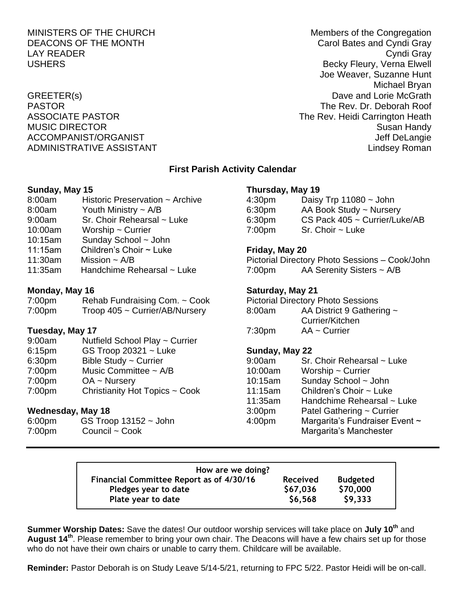## MINISTERS OF THE CHURCH Members of the Congregation DEACONS OF THE MONTH CAROLIC CAROLEY CAROLE BATES AND CAROLE CAROLE CAROLE OF THE MONTH LAY READER Cyndi Gray USHERS **Becky Fleury, Verna Elwell** Joe Weaver, Suzanne Hunt Michael Bryan GREETER(s) Dave and Lorie McGrath PASTOR The Rev. Dr. Deborah Roof ASSOCIATE PASTOR **The Rev. Heidi Carrington Heath** MUSIC DIRECTOR **Susan Handy** Susan Handy Susan Handy Susan Handy Susan Handy Susan Handy Susan Handy Susan Handy ACCOMPANIST/ORGANIST ACCOMPANIST ACCOMPANIST/ORGANIST ADMINISTRATIVE ASSISTANT Lindsey Roman

## **First Parish Activity Calendar**

#### **Sunday, May 15**

- 8:00am Historic Preservation ~ Archive
- 8:00am Youth Ministry ~ A/B
- 9:00am Sr. Choir Rehearsal ~ Luke
- 10:00am Worship ~ Currier
- 10:15am Sunday School ~ John
- 11:15am Children's Choir ~ Luke
- 11:30am Mission ~ A/B
- 11:35am Handchime Rehearsal ~ Luke

#### **Monday, May 16**

| 7:00pm | Rehab Fundraising Com. ~ Cook  |
|--------|--------------------------------|
| 7:00pm | Troop 405 ~ Currier/AB/Nursery |

### **Tuesday, May 17**

- 9:00am Nutfield School Play ~ Currier 6:15pm GS Troop 20321 ~ Luke
- 6:30pm Bible Study ~ Currier
- 7:00pm Music Committee ~ A/B
- 7:00pm OA ~ Nursery
- 7:00pm Christianity Hot Topics ~ Cook

#### **Wednesday, May 18**

6:00pm GS Troop 13152 ~ John 7:00pm Council ~ Cook

#### **Thursday, May 19**

| 4:30pm | Daisy Trp $11080 \sim$ John   |
|--------|-------------------------------|
| 6:30pm | AA Book Study ~ Nursery       |
| 6:30pm | CS Pack 405 ~ Currier/Luke/AB |
| 7:00pm | $Sr.$ Choir $\sim$ Luke       |

## **Friday, May 20**

Pictorial Directory Photo Sessions – Cook/John 7:00pm AA Serenity Sisters ~ A/B

## **Saturday, May 21**

| <b>Pictorial Directory Photo Sessions</b> |                           |  |  |  |
|-------------------------------------------|---------------------------|--|--|--|
| 8:00am                                    | AA District 9 Gathering ~ |  |  |  |
|                                           | Currier/Kitchen           |  |  |  |
| 7:30 <sub>pm</sub>                        | $AA \sim$ Currier         |  |  |  |

## **Sunday, May 22**

| 9:00am             | Sr. Choir Rehearsal ~ Luke     |
|--------------------|--------------------------------|
| 10:00am            | Worship $\sim$ Currier         |
| 10:15am            | Sunday School ~ John           |
| 11:15am            | Children's Choir ~ Luke        |
| 11:35am            | Handchime Rehearsal ~ Luke     |
| 3:00 <sub>pm</sub> | Patel Gathering ~ Currier      |
| 4:00pm             | Margarita's Fundraiser Event ~ |
|                    | Margarita's Manchester         |

| How are we doing?                        |                 |                 |
|------------------------------------------|-----------------|-----------------|
| Financial Committee Report as of 4/30/16 | <b>Received</b> | <b>Budgeted</b> |
| Pledges year to date                     | \$67,036        | \$70,000        |
| Plate year to date                       | \$6,568         | \$9,333         |

**Summer Worship Dates:** Save the dates! Our outdoor worship services will take place on **July 10th** and **August 14th** . Please remember to bring your own chair. The Deacons will have a few chairs set up for those who do not have their own chairs or unable to carry them. Childcare will be available.

**Reminder:** Pastor Deborah is on Study Leave 5/14-5/21, returning to FPC 5/22. Pastor Heidi will be on-call.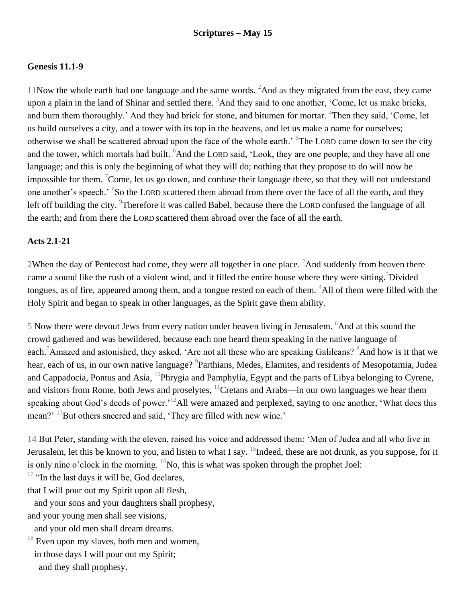## **Genesis 11.1-9**

11Now the whole earth had one language and the same words.  ${}^{2}$ And as they migrated from the east, they came upon a plain in the land of Shinar and settled there. <sup>3</sup>And they said to one another, 'Come, let us make bricks, and burn them thoroughly.' And they had brick for stone, and bitumen for mortar. <sup>4</sup>Then they said, 'Come, let us build ourselves a city, and a tower with its top in the heavens, and let us make a name for ourselves; otherwise we shall be scattered abroad upon the face of the whole earth.<sup>5</sup> The LORD came down to see the city and the tower, which mortals had built. <sup>6</sup>And the LORD said, 'Look, they are one people, and they have all one language; and this is only the beginning of what they will do; nothing that they propose to do will now be impossible for them. <sup>7</sup>Come, let us go down, and confuse their language there, so that they will not understand one another's speech.<sup>' 8</sup>So the LORD scattered them abroad from there over the face of all the earth, and they left off building the city. <sup>9</sup>Therefore it was called Babel, because there the LORD confused the language of all the earth; and from there the LORD scattered them abroad over the face of all the earth.

## **Acts 2.1-21**

2When the day of Pentecost had come, they were all together in one place.  ${}^{2}$ And suddenly from heaven there came a sound like the rush of a violent wind, and it filled the entire house where they were sitting.<sup>3</sup>Divided tongues, as of fire, appeared among them, and a tongue rested on each of them.  $4$ All of them were filled with the Holy Spirit and began to speak in other languages, as the Spirit gave them ability.

5 Now there were devout Jews from every nation under heaven living in Jerusalem. <sup>6</sup>And at this sound the crowd gathered and was bewildered, because each one heard them speaking in the native language of each.<sup>7</sup>Amazed and astonished, they asked, 'Are not all these who are speaking Galileans? <sup>8</sup>And how is it that we hear, each of us, in our own native language? <sup>9</sup>Parthians, Medes, Elamites, and residents of Mesopotamia, Judea and Cappadocia, Pontus and Asia,  ${}^{10}$ Phrygia and Pamphylia, Egypt and the parts of Libya belonging to Cyrene, and visitors from Rome, both Jews and proselytes,  $^{11}$ Cretans and Arabs—in our own languages we hear them speaking about God's deeds of power.<sup>'12</sup>All were amazed and perplexed, saying to one another, 'What does this mean?' <sup>13</sup>But others sneered and said, 'They are filled with new wine.'

14 But Peter, standing with the eleven, raised his voice and addressed them: 'Men of Judea and all who live in Jerusalem, let this be known to you, and listen to what I say.  $^{15}$ Indeed, these are not drunk, as you suppose, for it is only nine o'clock in the morning.  ${}^{16}$ No, this is what was spoken through the prophet Joel:

 $17$  "In the last days it will be, God declares,

that I will pour out my Spirit upon all flesh,

 and your sons and your daughters shall prophesy, and your young men shall see visions,

and your old men shall dream dreams.

 $18$  Even upon my slaves, both men and women, in those days I will pour out my Spirit; and they shall prophesy.